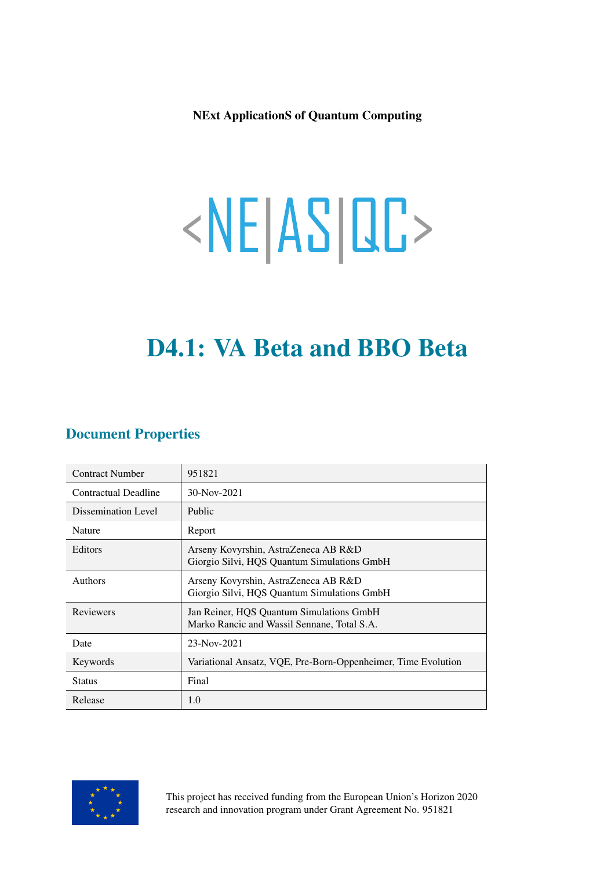NExt ApplicationS of Quantum Computing

# <NE|AS|QC>

# D4.1: VA Beta and BBO Beta

# Document Properties

| <b>Contract Number</b> | 951821                                                                                  |
|------------------------|-----------------------------------------------------------------------------------------|
| Contractual Deadline   | 30-Nov-2021                                                                             |
| Dissemination Level    | Public                                                                                  |
| Nature                 | Report                                                                                  |
| Editors                | Arseny Kovyrshin, AstraZeneca AB R&D<br>Giorgio Silvi, HQS Quantum Simulations GmbH     |
| <b>Authors</b>         | Arseny Kovyrshin, AstraZeneca AB R&D<br>Giorgio Silvi, HQS Quantum Simulations GmbH     |
| <b>Reviewers</b>       | Jan Reiner, HQS Quantum Simulations GmbH<br>Marko Rancic and Wassil Sennane, Total S.A. |
| Date                   | 23-Nov-2021                                                                             |
| Keywords               | Variational Ansatz, VQE, Pre-Born-Oppenheimer, Time Evolution                           |
| <b>Status</b>          | Final                                                                                   |
| Release                | 1.0                                                                                     |



This project has received funding from the European Union's Horizon 2020 research and innovation program under Grant Agreement No. 951821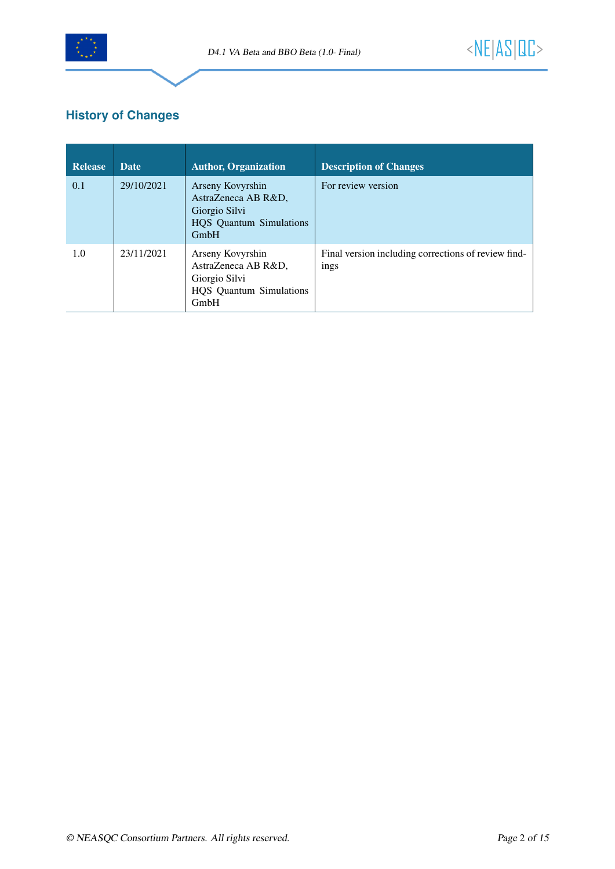

# **History of Changes**

| Release | <b>Date</b> | <b>Author, Organization</b>                                                                        | <b>Description of Changes</b>                               |
|---------|-------------|----------------------------------------------------------------------------------------------------|-------------------------------------------------------------|
| 0.1     | 29/10/2021  | Arseny Kovyrshin<br>AstraZeneca AB R&D,<br>Giorgio Silvi<br><b>HQS</b> Quantum Simulations<br>GmbH | For review version                                          |
| 1.0     | 23/11/2021  | Arseny Kovyrshin<br>AstraZeneca AB R&D,<br>Giorgio Silvi<br><b>HQS</b> Quantum Simulations<br>GmbH | Final version including corrections of review find-<br>ings |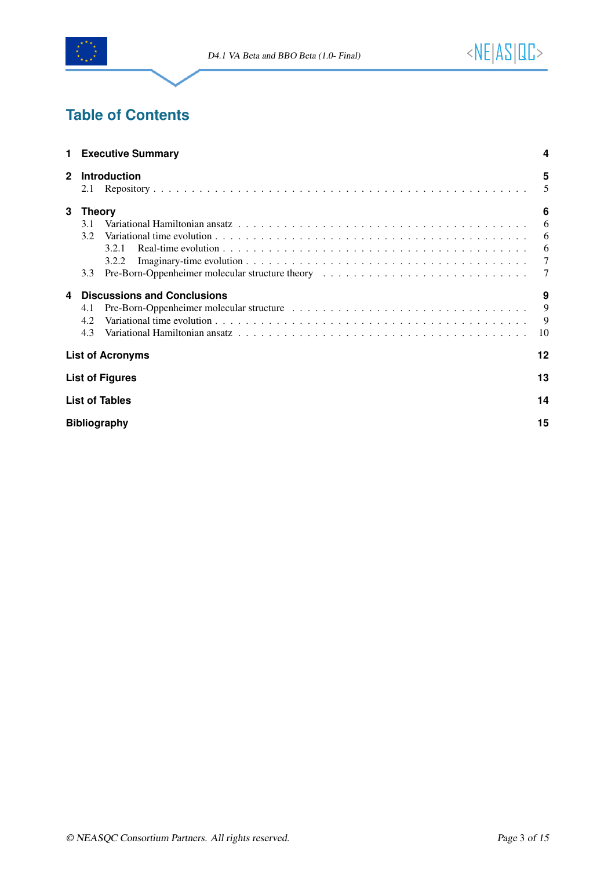

# **Table of Contents**

|              | <b>Executive Summary</b>                                                                                                                                                                                                              | 4      |  |  |
|--------------|---------------------------------------------------------------------------------------------------------------------------------------------------------------------------------------------------------------------------------------|--------|--|--|
| $\mathbf{2}$ | <b>Introduction</b><br>2.1                                                                                                                                                                                                            | 5<br>5 |  |  |
| 3            | <b>Theory</b>                                                                                                                                                                                                                         | 6      |  |  |
|              | 3.1                                                                                                                                                                                                                                   | 6      |  |  |
|              | 3.2                                                                                                                                                                                                                                   | 6      |  |  |
|              | 3.2.1                                                                                                                                                                                                                                 | 6      |  |  |
|              | 3.2.2                                                                                                                                                                                                                                 | 7      |  |  |
|              | Pre-Born-Oppenheimer molecular structure theory enter the state of the state of the state of the state of the state of the state of the state of the state of the state of the state of the state of the state of the state of<br>3.3 | 7      |  |  |
| 4            | <b>Discussions and Conclusions</b>                                                                                                                                                                                                    | 9      |  |  |
|              | 4.1                                                                                                                                                                                                                                   | 9      |  |  |
|              | 4.2                                                                                                                                                                                                                                   | 9      |  |  |
|              | 4.3                                                                                                                                                                                                                                   | 10     |  |  |
|              | <b>List of Acronyms</b>                                                                                                                                                                                                               | 12     |  |  |
|              | <b>List of Figures</b>                                                                                                                                                                                                                | 13     |  |  |
|              | <b>List of Tables</b>                                                                                                                                                                                                                 | 14     |  |  |
|              | <b>Bibliography</b>                                                                                                                                                                                                                   |        |  |  |
|              |                                                                                                                                                                                                                                       |        |  |  |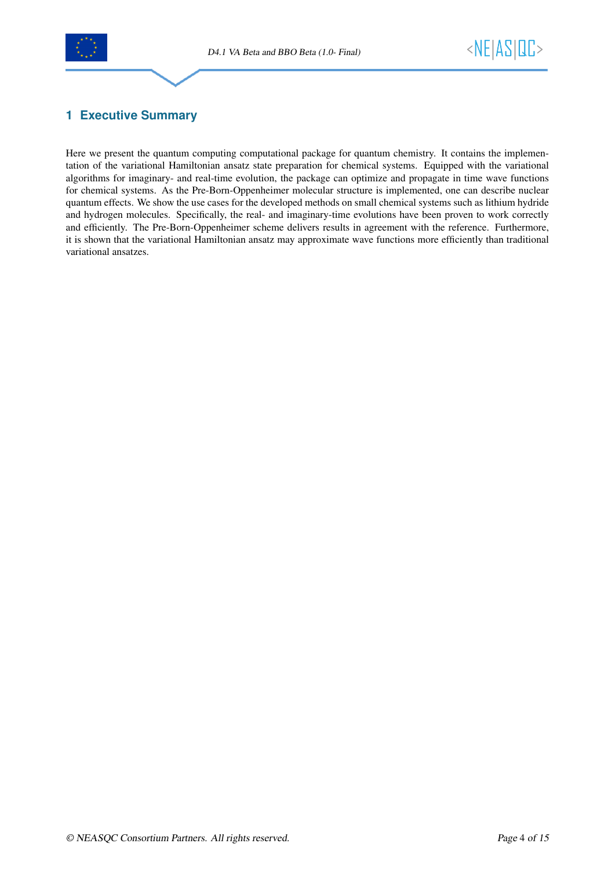



# <span id="page-3-0"></span>**1 Executive Summary**

Here we present the quantum computing computational package for quantum chemistry. It contains the implementation of the variational Hamiltonian ansatz state preparation for chemical systems. Equipped with the variational algorithms for imaginary- and real-time evolution, the package can optimize and propagate in time wave functions for chemical systems. As the Pre-Born-Oppenheimer molecular structure is implemented, one can describe nuclear quantum effects. We show the use cases for the developed methods on small chemical systems such as lithium hydride and hydrogen molecules. Specifically, the real- and imaginary-time evolutions have been proven to work correctly and efficiently. The Pre-Born-Oppenheimer scheme delivers results in agreement with the reference. Furthermore, it is shown that the variational Hamiltonian ansatz may approximate wave functions more efficiently than traditional variational ansatzes.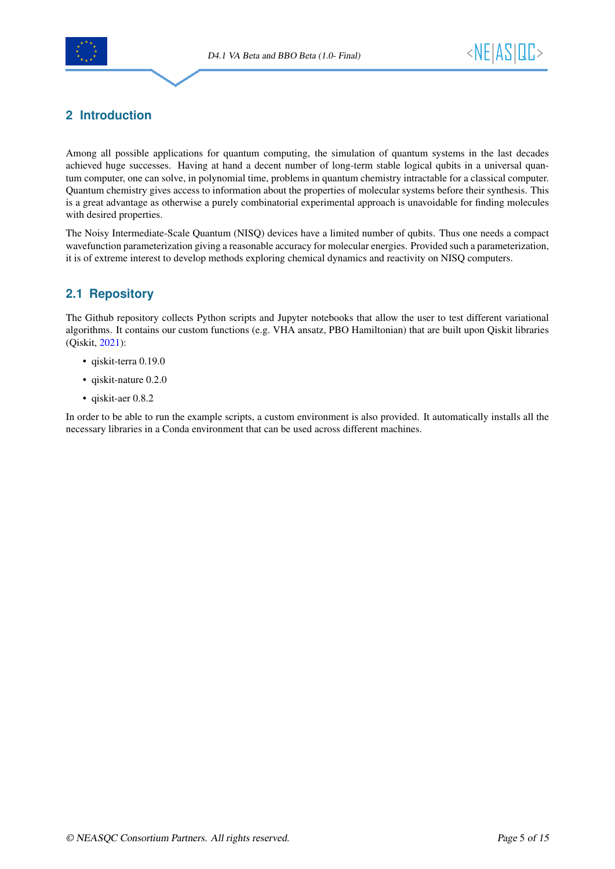



# <span id="page-4-0"></span>**2 Introduction**

Among all possible applications for quantum computing, the simulation of quantum systems in the last decades achieved huge successes. Having at hand a decent number of long-term stable logical qubits in a universal quantum computer, one can solve, in polynomial time, problems in quantum chemistry intractable for a classical computer. Quantum chemistry gives access to information about the properties of molecular systems before their synthesis. This is a great advantage as otherwise a purely combinatorial experimental approach is unavoidable for finding molecules with desired properties.

The Noisy Intermediate-Scale Quantum (NISQ) devices have a limited number of qubits. Thus one needs a compact wavefunction parameterization giving a reasonable accuracy for molecular energies. Provided such a parameterization, it is of extreme interest to develop methods exploring chemical dynamics and reactivity on NISQ computers.

# <span id="page-4-1"></span>**2.1 Repository**

The Github repository collects Python scripts and Jupyter notebooks that allow the user to test different variational algorithms. It contains our custom functions (e.g. VHA ansatz, PBO Hamiltonian) that are built upon Qiskit libraries (Qiskit, [2021\)](#page-14-1):

- qiskit-terra 0.19.0
- qiskit-nature 0.2.0
- qiskit-aer 0.8.2

In order to be able to run the example scripts, a custom environment is also provided. It automatically installs all the necessary libraries in a Conda environment that can be used across different machines.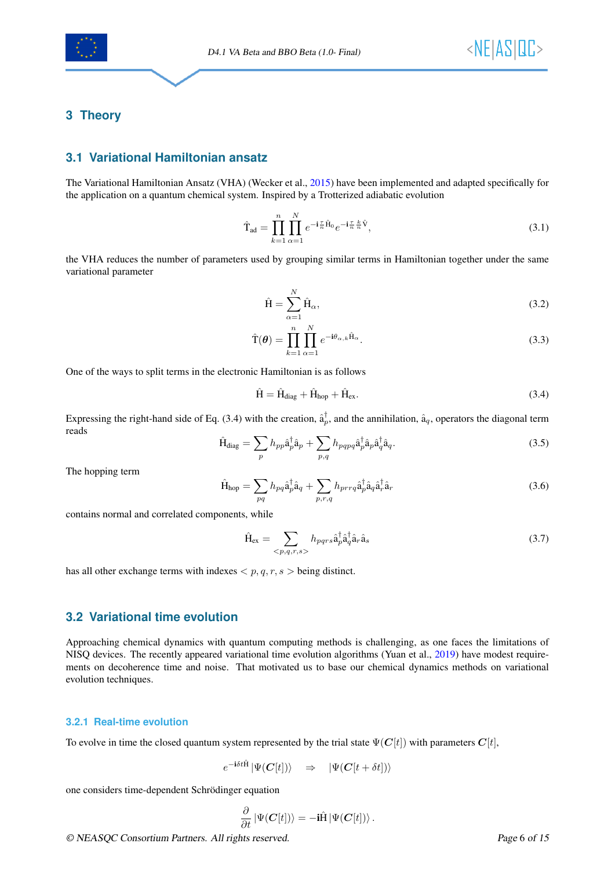

### <span id="page-5-0"></span>**3 Theory**

### <span id="page-5-1"></span>**3.1 Variational Hamiltonian ansatz**

The Variational Hamiltonian Ansatz (VHA) (Wecker et al., [2015\)](#page-14-2) have been implemented and adapted specifically for the application on a quantum chemical system. Inspired by a Trotterized adiabatic evolution

$$
\hat{\mathbf{T}}_{\text{ad}} = \prod_{k=1}^{n} \prod_{\alpha=1}^{N} e^{-\mathbf{i}\frac{\tau}{n}\hat{\mathbf{H}}_0} e^{-\mathbf{i}\frac{\tau}{n}\frac{k}{n}\hat{\mathbf{V}}},\tag{3.1}
$$

the VHA reduces the number of parameters used by grouping similar terms in Hamiltonian together under the same variational parameter

$$
\hat{H} = \sum_{\alpha=1}^{N} \hat{H}_{\alpha},\tag{3.2}
$$

$$
\hat{\mathbf{T}}(\boldsymbol{\theta}) = \prod_{k=1}^{n} \prod_{\alpha=1}^{N} e^{-i\theta_{\alpha,k}\hat{\mathbf{H}}_{\alpha}}.
$$
\n(3.3)

One of the ways to split terms in the electronic Hamiltonian is as follows

<span id="page-5-4"></span>
$$
\hat{H} = \hat{H}_{diag} + \hat{H}_{hop} + \hat{H}_{ex}.
$$
\n(3.4)

Expressing the right-hand side of Eq. [\(3.4\)](#page-5-4) with the creation,  $\hat{a}_p^{\dagger}$ , and the annihilation,  $\hat{a}_q$ , operators the diagonal term reads

$$
\hat{H}_{\text{diag}} = \sum_{p} h_{pp} \hat{a}_p^{\dagger} \hat{a}_p + \sum_{p,q} h_{pqpq} \hat{a}_p^{\dagger} \hat{a}_p \hat{a}_q^{\dagger} \hat{a}_q. \tag{3.5}
$$

The hopping term

$$
\hat{H}_{hop} = \sum_{pq} h_{pq} \hat{a}_p^{\dagger} \hat{a}_q + \sum_{p,r,q} h_{prrq} \hat{a}_p^{\dagger} \hat{a}_q \hat{a}_r^{\dagger} \hat{a}_r
$$
\n(3.6)

contains normal and correlated components, while

$$
\hat{H}_{ex} = \sum_{\langle p,q,r,s\rangle} h_{pqrs} \hat{a}_p^{\dagger} \hat{a}_q^{\dagger} \hat{a}_r \hat{a}_s
$$
\n(3.7)

has all other exchange terms with indexes  $\langle p, q, r, s \rangle$  being distinct.

### <span id="page-5-2"></span>**3.2 Variational time evolution**

Approaching chemical dynamics with quantum computing methods is challenging, as one faces the limitations of NISQ devices. The recently appeared variational time evolution algorithms (Yuan et al., [2019\)](#page-14-3) have modest requirements on decoherence time and noise. That motivated us to base our chemical dynamics methods on variational evolution techniques.

### <span id="page-5-3"></span>**3.2.1 Real-time evolution**

To evolve in time the closed quantum system represented by the trial state  $\Psi(C[t])$  with parameters  $C[t]$ ,

$$
e^{-\mathbf{i}\delta t \hat{\mathbf{H}}} \left| \Psi(\boldsymbol{C}[t]) \right\rangle \quad \Rightarrow \quad \left| \Psi(\boldsymbol{C}[t+\delta t]) \right\rangle
$$

one considers time-dependent Schrödinger equation

$$
\frac{\partial}{\partial t} |\Psi(C[t])\rangle = -i\hat{H} |\Psi(C[t])\rangle.
$$

© NEASQC Consortium Partners. All rights reserved. Page 6 of [15](#page-14-0)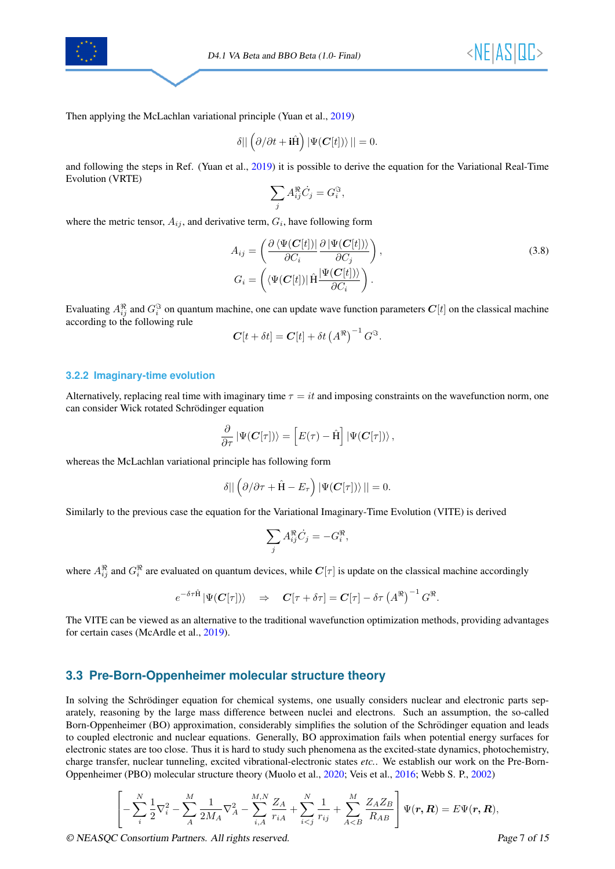



Then applying the McLachlan variational principle (Yuan et al., [2019\)](#page-14-3)

$$
\delta || \left( \partial / \partial t + \mathbf{i} \hat{H} \right) |\Psi(\boldsymbol{C}[t]) \rangle || = 0.
$$

and following the steps in Ref. (Yuan et al., [2019\)](#page-14-3) it is possible to derive the equation for the Variational Real-Time Evolution (VRTE)

$$
\sum_j A_{ij}^{\Re} \dot{C}_j = G_i^{\Im},
$$

where the metric tensor,  $A_{ij}$ , and derivative term,  $G_i$ , have following form

$$
A_{ij} = \left(\frac{\partial \langle \Psi(C[t])|}{\partial C_i} \frac{\partial |\Psi(C[t])\rangle}{\partial C_j}\right),
$$
  
\n
$$
G_i = \left(\langle \Psi(C[t])| \hat{H} \frac{|\Psi(C[t])\rangle}{\partial C_i}\right).
$$
\n(3.8)

Evaluating  $A_{ij}^{\Re}$  and  $G_i^{\Im}$  on quantum machine, one can update wave function parameters  $C[t]$  on the classical machine according to the following rule

$$
\mathbf{C}[t + \delta t] = \mathbf{C}[t] + \delta t \left(A^{\Re}\right)^{-1} G^{\Im}.
$$

### <span id="page-6-0"></span>**3.2.2 Imaginary-time evolution**

Alternatively, replacing real time with imaginary time  $\tau = it$  and imposing constraints on the wavefunction norm, one can consider Wick rotated Schrödinger equation

$$
\frac{\partial}{\partial \tau} \left| \Psi(\boldsymbol{C}[\tau]) \right\rangle = \left[ E(\tau) - \hat{H} \right] \left| \Psi(\boldsymbol{C}[\tau]) \right\rangle,
$$

whereas the McLachlan variational principle has following form

$$
\delta || \left( \partial / \partial \tau + \hat{H} - E_{\tau} \right) |\Psi(C[\tau]) \rangle || = 0.
$$

Similarly to the previous case the equation for the Variational Imaginary-Time Evolution (VITE) is derived

$$
\sum_j A_{ij}^{\Re} \dot{C}_j = -G_i^{\Re},
$$

where  $A_{ij}^{\Re}$  and  $G_i^{\Re}$  are evaluated on quantum devices, while  $C[\tau]$  is update on the classical machine accordingly

$$
e^{-\delta \tau \hat{H}} |\Psi(C[\tau])\rangle \quad \Rightarrow \quad C[\tau + \delta \tau] = C[\tau] - \delta \tau (A^{\Re})^{-1} G^{\Re}.
$$

The VITE can be viewed as an alternative to the traditional wavefunction optimization methods, providing advantages for certain cases (McArdle et al., [2019\)](#page-14-4).

### <span id="page-6-1"></span>**3.3 Pre-Born-Oppenheimer molecular structure theory**

In solving the Schrödinger equation for chemical systems, one usually considers nuclear and electronic parts separately, reasoning by the large mass difference between nuclei and electrons. Such an assumption, the so-called Born-Oppenheimer (BO) approximation, considerably simplifies the solution of the Schrödinger equation and leads to coupled electronic and nuclear equations. Generally, BO approximation fails when potential energy surfaces for electronic states are too close. Thus it is hard to study such phenomena as the excited-state dynamics, photochemistry, charge transfer, nuclear tunneling, excited vibrational-electronic states *etc.*. We establish our work on the Pre-Born-Oppenheimer (PBO) molecular structure theory (Muolo et al., [2020;](#page-14-5) Veis et al., [2016;](#page-14-6) Webb S. P., [2002\)](#page-14-7)

$$
\left[ -\sum_{i=1}^{N} \frac{1}{2} \nabla_{i}^{2} - \sum_{A}^{M} \frac{1}{2M_{A}} \nabla_{A}^{2} - \sum_{i,A}^{M,N} \frac{Z_{A}}{r_{iA}} + \sum_{i
$$

© NEASQC Consortium Partners. All rights reserved. Page 7 of [15](#page-14-0)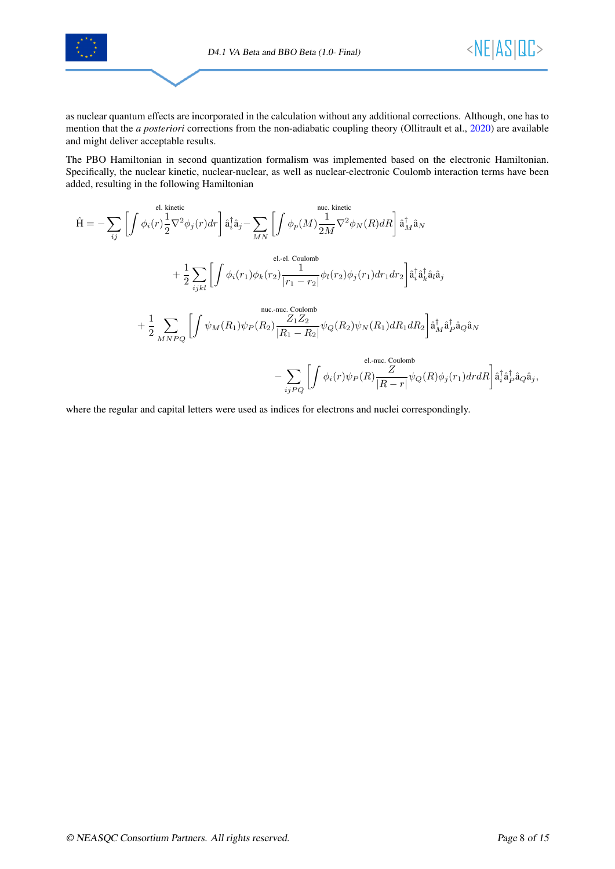



as nuclear quantum effects are incorporated in the calculation without any additional corrections. Although, one has to mention that the *a posteriori* corrections from the non-adiabatic coupling theory (Ollitrault et al., [2020\)](#page-14-8) are available and might deliver acceptable results.

The PBO Hamiltonian in second quantization formalism was implemented based on the electronic Hamiltonian. Specifically, the nuclear kinetic, nuclear-nuclear, as well as nuclear-electronic Coulomb interaction terms have been added, resulting in the following Hamiltonian

$$
\hat{H} = -\sum_{ij} \left[ \int \phi_i(r) \frac{1}{2} \nabla^2 \phi_j(r) dr \right] \hat{a}_i^{\dagger} \hat{a}_j - \sum_{MN} \left[ \int \phi_p(M) \frac{1}{2M} \nabla^2 \phi_N(R) dR \right] \hat{a}_M^{\dagger} \hat{a}_N
$$
\n
$$
+ \frac{1}{2} \sum_{ijkl} \left[ \int \phi_i(r_1) \phi_k(r_2) \frac{1}{|r_1 - r_2|} \phi_l(r_2) \phi_j(r_1) dr_1 dr_2 \right] \hat{a}_i^{\dagger} \hat{a}_k^{\dagger} \hat{a}_l \hat{a}_j
$$
\n
$$
+ \frac{1}{2} \sum_{MNPQ} \left[ \int \psi_M(R_1) \psi_P(R_2) \frac{Z_1 Z_2}{|R_1 - R_2|} \psi_Q(R_2) \psi_N(R_1) dR_1 dR_2 \right] \hat{a}_M^{\dagger} \hat{a}_P^{\dagger} \hat{a}_Q \hat{a}_N
$$
\neq. -nuc. Coulomb\n
$$
- \sum_{ijPQ} \left[ \int \phi_i(r) \psi_P(R) \frac{Z}{|R - r|} \psi_Q(R) \phi_j(r_1) dr dR \right] \hat{a}_i^{\dagger} \hat{a}_P^{\dagger} \hat{a}_Q \hat{a}_j,
$$

where the regular and capital letters were used as indices for electrons and nuclei correspondingly.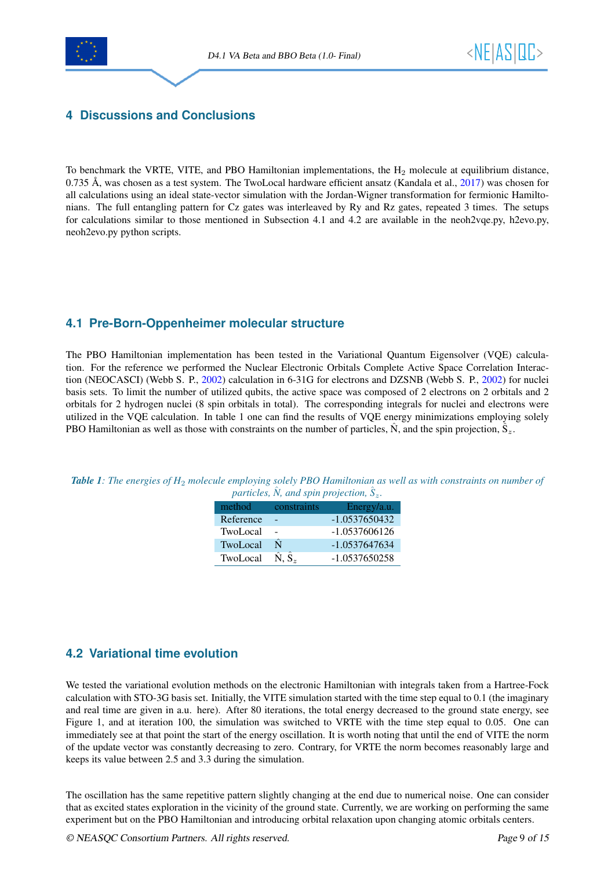

# <span id="page-8-0"></span>**4 Discussions and Conclusions**

To benchmark the VRTE, VITE, and PBO Hamiltonian implementations, the  $H_2$  molecule at equilibrium distance,  $0.735$  Å, was chosen as a test system. The TwoLocal hardware efficient ansatz (Kandala et al.,  $2017$ ) was chosen for all calculations using an ideal state-vector simulation with the Jordan-Wigner transformation for fermionic Hamiltonians. The full entangling pattern for Cz gates was interleaved by Ry and Rz gates, repeated 3 times. The setups for calculations similar to those mentioned in Subsection [4.1](#page-8-1) and [4.2](#page-8-2) are available in the neoh2vqe.py, h2evo.py, neoh2evo.py python scripts.

# <span id="page-8-1"></span>**4.1 Pre-Born-Oppenheimer molecular structure**

The PBO Hamiltonian implementation has been tested in the Variational Quantum Eigensolver (VQE) calculation. For the reference we performed the Nuclear Electronic Orbitals Complete Active Space Correlation Interaction (NEOCASCI) (Webb S. P., [2002\)](#page-14-7) calculation in 6-31G for electrons and DZSNB (Webb S. P., [2002\)](#page-14-7) for nuclei basis sets. To limit the number of utilized qubits, the active space was composed of 2 electrons on 2 orbitals and 2 orbitals for 2 hydrogen nuclei (8 spin orbitals in total). The corresponding integrals for nuclei and electrons were utilized in the VQE calculation. In table [1](#page-8-3) one can find the results of VQE energy minimizations employing solely PBO Hamiltonian as well as those with constraints on the number of particles,  $\hat{N}$ , and the spin projection,  $\hat{S}_z$ .

<span id="page-8-3"></span>

| <b>Table 1:</b> The energies of $H_2$ molecule employing solely PBO Hamiltonian as well as with constraints on number of |                                            |  |
|--------------------------------------------------------------------------------------------------------------------------|--------------------------------------------|--|
|                                                                                                                          | particles, N, and spin projection, $S_z$ . |  |

| method          | constraints             | Energy/a.u.     |
|-----------------|-------------------------|-----------------|
| Reference       |                         | $-1.0537650432$ |
| TwoLocal        |                         | $-1.0537606126$ |
| <b>TwoLocal</b> | Ñ                       | $-1.0537647634$ |
| TwoLocal        | $\hat{N}$ , $\hat{S}_z$ | $-1.0537650258$ |

# <span id="page-8-2"></span>**4.2 Variational time evolution**

We tested the variational evolution methods on the electronic Hamiltonian with integrals taken from a Hartree-Fock calculation with STO-3G basis set. Initially, the VITE simulation started with the time step equal to 0.1 (the imaginary and real time are given in a.u. here). After 80 iterations, the total energy decreased to the ground state energy, see Figure [1,](#page-9-1) and at iteration 100, the simulation was switched to VRTE with the time step equal to 0.05. One can immediately see at that point the start of the energy oscillation. It is worth noting that until the end of VITE the norm of the update vector was constantly decreasing to zero. Contrary, for VRTE the norm becomes reasonably large and keeps its value between 2.5 and 3.3 during the simulation.

The oscillation has the same repetitive pattern slightly changing at the end due to numerical noise. One can consider that as excited states exploration in the vicinity of the ground state. Currently, we are working on performing the same experiment but on the PBO Hamiltonian and introducing orbital relaxation upon changing atomic orbitals centers.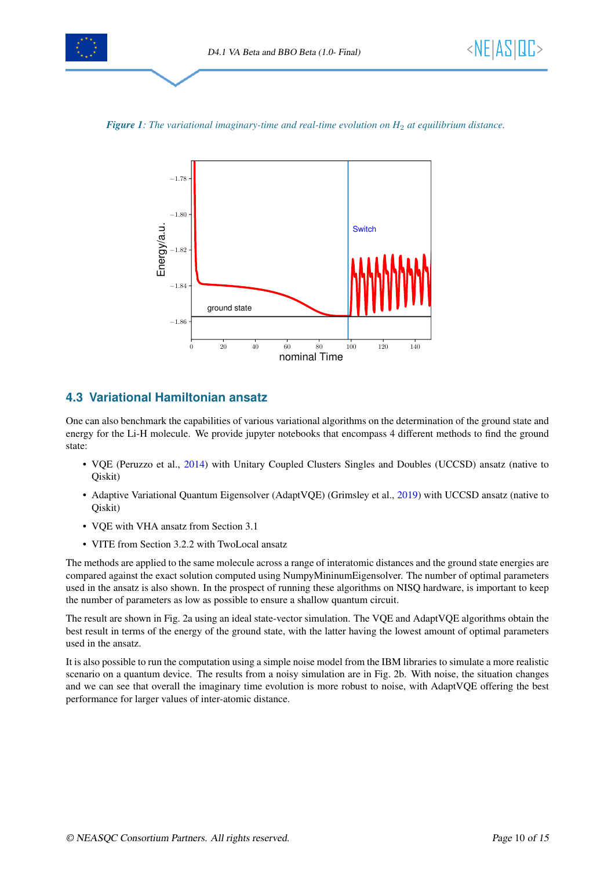



<span id="page-9-1"></span>



# <span id="page-9-0"></span>**4.3 Variational Hamiltonian ansatz**

One can also benchmark the capabilities of various variational algorithms on the determination of the ground state and energy for the Li-H molecule. We provide jupyter notebooks that encompass 4 different methods to find the ground state:

- VQE (Peruzzo et al., [2014\)](#page-14-10) with Unitary Coupled Clusters Singles and Doubles (UCCSD) ansatz (native to Qiskit)
- Adaptive Variational Quantum Eigensolver (AdaptVQE) (Grimsley et al., [2019\)](#page-14-11) with UCCSD ansatz (native to Qiskit)
- VQE with VHA ansatz from Section [3.1](#page-5-1)
- VITE from Section [3.2.2](#page-6-0) with TwoLocal ansatz

The methods are applied to the same molecule across a range of interatomic distances and the ground state energies are compared against the exact solution computed using NumpyMininumEigensolver. The number of optimal parameters used in the ansatz is also shown. In the prospect of running these algorithms on NISQ hardware, is important to keep the number of parameters as low as possible to ensure a shallow quantum circuit.

The result are shown in Fig. [2a](#page-10-0) using an ideal state-vector simulation. The VQE and AdaptVQE algorithms obtain the best result in terms of the energy of the ground state, with the latter having the lowest amount of optimal parameters used in the ansatz.

It is also possible to run the computation using a simple noise model from the IBM libraries to simulate a more realistic scenario on a quantum device. The results from a noisy simulation are in Fig. [2b.](#page-10-0) With noise, the situation changes and we can see that overall the imaginary time evolution is more robust to noise, with AdaptVQE offering the best performance for larger values of inter-atomic distance.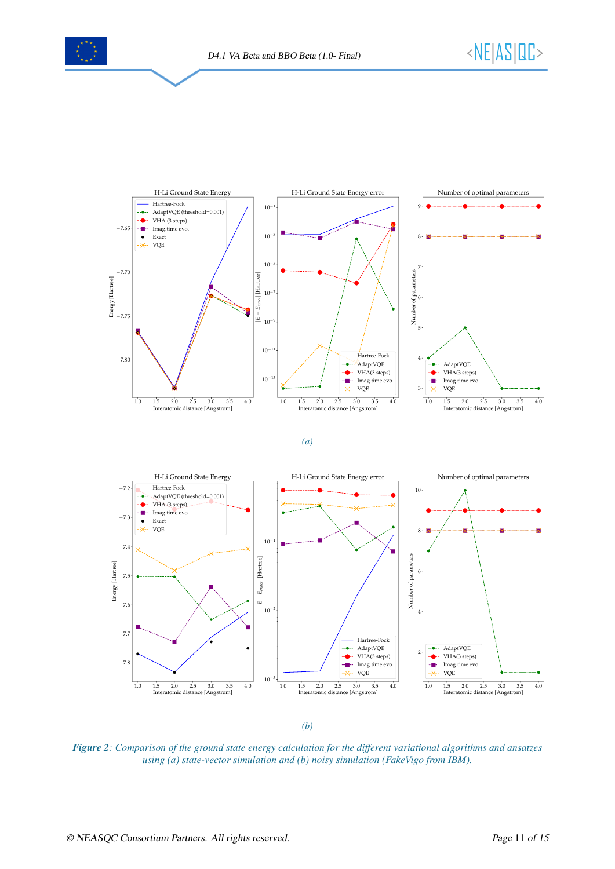

<span id="page-10-0"></span>

*(a)*



*(b)*

*Figure 2: Comparison of the ground state energy calculation for the different variational algorithms and ansatzes using (a) state-vector simulation and (b) noisy simulation (FakeVigo from IBM).*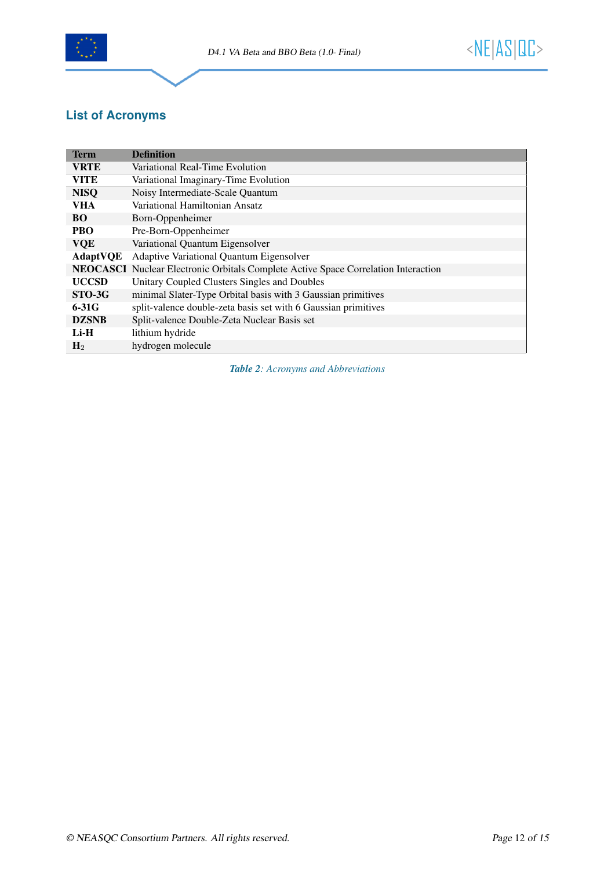

# **List of Acronyms**

<span id="page-11-0"></span>

| <b>Term</b>     | <b>Definition</b>                                                         |
|-----------------|---------------------------------------------------------------------------|
| <b>VRTE</b>     | Variational Real-Time Evolution                                           |
| <b>VITE</b>     | Variational Imaginary-Time Evolution                                      |
| <b>NISQ</b>     | Noisy Intermediate-Scale Quantum                                          |
| <b>VHA</b>      | Variational Hamiltonian Ansatz                                            |
| <b>BO</b>       | Born-Oppenheimer                                                          |
| <b>PBO</b>      | Pre-Born-Oppenheimer                                                      |
| <b>VQE</b>      | Variational Quantum Eigensolver                                           |
| <b>AdaptVQE</b> | <b>Adaptive Variational Quantum Eigensolver</b>                           |
| <b>NEOCASCI</b> | Nuclear Electronic Orbitals Complete Active Space Correlation Interaction |
| <b>UCCSD</b>    | Unitary Coupled Clusters Singles and Doubles                              |
| STO-3G          | minimal Slater-Type Orbital basis with 3 Gaussian primitives              |
| $6-31G$         | split-valence double-zeta basis set with 6 Gaussian primitives            |
| <b>DZSNB</b>    | Split-valence Double-Zeta Nuclear Basis set                               |
| $Li-H$          | lithium hydride                                                           |
| H <sub>2</sub>  | hydrogen molecule                                                         |

*Table 2: Acronyms and Abbreviations*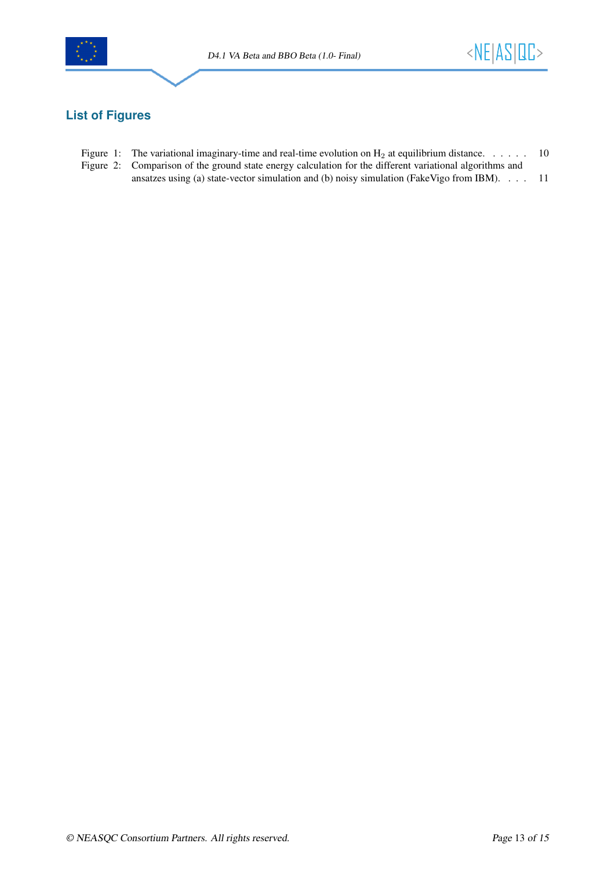



# <span id="page-12-0"></span>**List of Figures**

- Figure 1: The variational imaginary-time and real-time evolution on  $H_2$  at equilibrium distance. . . . . . [10](#page-9-1)
- [Figure 2: Comparison of the ground state energy calculation for the different variational algorithms and](#page-10-0) [ansatzes using \(a\) state-vector simulation and \(b\) noisy simulation \(FakeVigo from IBM\).](#page-10-0) . . . [11](#page-10-0)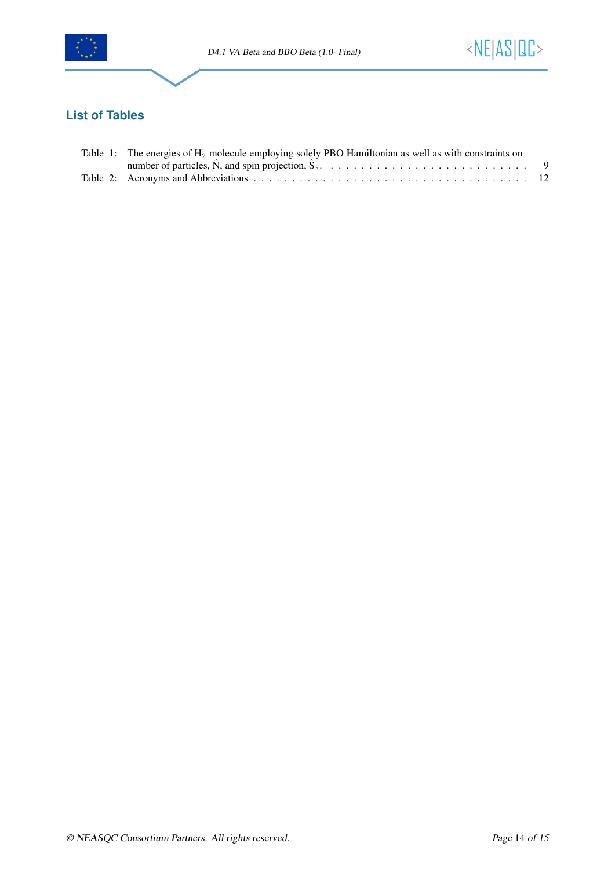



# <span id="page-13-0"></span>**List of Tables**

| Table 1: The energies of $H_2$ molecule employing solely PBO Hamiltonian as well as with constraints on |  |
|---------------------------------------------------------------------------------------------------------|--|
|                                                                                                         |  |
|                                                                                                         |  |